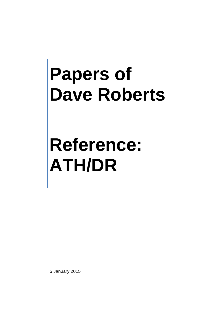**Reference: ATH/DR**

5 January 2015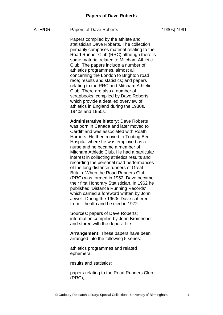#### ATH/DR Papers of Dave Roberts

Papers compiled by the athlete and statistician Dave Roberts. The collection primarily comprises material relating to the Road Runner Club (RRC) although there is some material related to Mitcham Athletic Club. The papers include a number of athletics programmes, almost all concerning the London to Brighton road race; results and statistics; and papers relating to the RRC and Mitcham Athletic Club. There are also a number of scrapbooks, compiled by Dave Roberts, which provide a detailed overview of athletics in England during the 1930s, 1940s and 1950s.

**Administrative history:** Dave Roberts was born in Canada and later moved to Cardiff and was associated with Roath Harriers. He then moved to Tooting Bec Hospital where he was employed as a nurse and he became a member of Mitcham Athletic Club. He had a particular interest in collecting athletics results and recording the personal road performances of the long distance runners of Great Britain. When the Road Runners Club (RRC) was formed in 1952, Dave became their first Honorary Statistician. In 1962 he published 'Distance Running Records' which carried a foreword written by John Jewell. During the 1960s Dave suffered from ill health and he died in 1972.

Sources: papers of Dave Roberts; information compiled by John Bromhead and stored with the deposit file

**Arrangement:** These papers have been arranged into the following 5 series:

athletics programmes and related ephemera;

results and statistics;

papers relating to the Road Runners Club (RRC);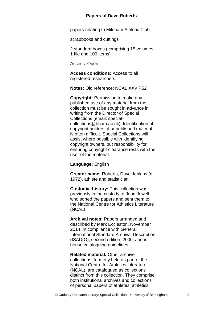papers relating to Mitcham Athletic Club;

scrapbooks and cuttings

2 standard boxes (comprising 15 volumes, 1 file and 100 items)

Access: Open

**Access conditions:** Access to all registered researchers.

**Notes:** Old reference: NCAL XXV.P52

**Copyright:** Permission to make any published use of any material from the collection must be sought in advance in writing from the Director of Special Collections (email: specialcollections@bham.ac.uk). Identification of copyright holders of unpublished material is often difficult. Special Collections will assist where possible with identifying copyright owners, but responsibility for ensuring copyright clearance rests with the user of the material.

**Language:** English

**Creator name:** Roberts, Dave Jenkins (d 1972), athlete and statistician

**Custodial history:** This collection was previously in the custody of John Jewell who sorted the papers and sent them to the National Centre for Athletics Literature (NCAL).

**Archival notes:** Papers arranged and described by Mark Eccleston, November 2014, in compliance with General International Standard Archival Description (ISAD(G), second edition, 2000; and inhouse cataloguing guidelines.

**Related material:** Other archive collections, formerly held as part of the National Centre for Athletics Literature (NCAL), are catalogued as collections distinct from this collection. They comprise both institutional archives and collections of personal papers of athletes, athletics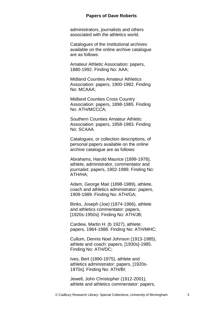administrators, journalists and others associated with the athletics world.

Catalogues of the institutional archives available on the online archive catalogue are as follows:

Amateur Athletic Association: papers, 1880-1992. Finding No: AAA;

Midland Counties Amateur Athletics Association: papers, 1900-1982. Finding No: MCAAA;

Midland Counties Cross Country Association: papers, 1898-1985. Finding No: ATH/MCCCA;

Southern Counties Amateur Athletic Association: papers, 1958-1983. Finding No: SCAAA.

Catalogues, or collection descriptions, of personal papers available on the online archive catalogue are as follows:

Abrahams, Harold Maurice (1899-1978), athlete, administrator, commentator and journalist: papers, 1902-1989. Finding No: ATH/HA;

Adam, George Mair (1898-1989), athlete, coach and athletics administrator: papers, 1909-1989. Finding No: ATH/GA;

Binks, Joseph (Joe) (1874-1966), athlete and athletics commentator: papers, [1920s-1950s]. Finding No: ATH/JB;

Cardew, Martin H. (b 1927), athlete: papers, 1964-1988. Finding No: ATH/MHC;

Cullum, Dennis Noel Johnson (1913-1985), athlete and coach: papers, [1930s]-1985. Finding No: ATH/DC;

Ives, Bert (1890-1975), athlete and athletics administrator: papers, [1920s-1970s]. Finding No: ATH/BI;

Jewell, John Christopher (1912-2001), athlete and athletics commentator: papers,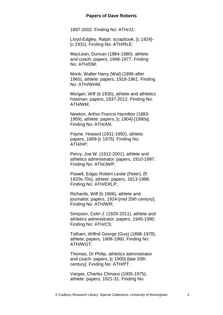1897-2002. Finding No: ATH/JJ;

Lloyd-Edgley, Ralph: scrapbook, [c 1924]- [c 1931]. Finding No: ATH/RLE;

MacLean, Duncan (1884-1980), athlete and coach: papers, 1948-1977. Finding No: ATH/DM;

Monk, Walter Harry (Wal) (1896-after 1965), athlete: papers, 1918-1961. Finding No: ATH/WHM;

Morgan, Wilf (b 1935), athlete and athletics historian: papers, 1937-2012. Finding No: ATH/WM;

Newton, Arthur Francis Hamilton (1883- 1959), athlete: papers, [c 1904]-[1990s]. Finding No: ATH/AN;

Payne, Howard (1931-1992), athlete: papers, 1899-[c 1975]. Finding No: ATH/HP;

Percy, Joe W. (1912-2001), athlete and athletics administrator: papers, 1910-1997. Finding No: ATH/JWP;

Powell, Edgar Robert Leslie (Peter), (fl 1920s-70s), athlete: papers, 1813-1988. Finding No: ATH/ERLP;

Richards, Wilf (b 1906), athlete and journalist: papers, 1924-[mid 20th century]. Finding No: ATH/WR;

Simpson, Colin J. (1929-2011), athlete and athletics administrator: papers, 1945-1990. Finding No: ATH/CS;

Tatham, Wilfrid George (Gus) (1898-1978), athlete: papers, 1908-1960. Finding No: ATH/WGT;

Thomas, Dr Philip, athletics administrator and coach: papers, [c 1900]-[late 20th century]. Finding No: ATH/PT;

Vargas, Charles Climaco (1905-1975), athlete: papers, 1921-31. Finding No: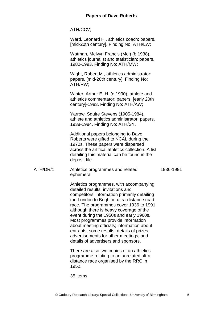ATH/CCV;

Ward, Leonard H., athletics coach: papers, [mid-20th century]. Finding No: ATH/LW;

Watman, Melvyn Francis (Mel) (b 1938), athletics journalist and statistician: papers, 1980-1993. Finding No: ATH/MW;

Wight, Robert M., athletics administrator: papers, [mid-20th century]. Finding No: ATH/RW;

Winter, Arthur E. H. (d 1990), athlete and athletics commentator: papers, [early 20th century]-1983. Finding No: ATH/AW;

Yarrow, Squire Stevens (1905-1984), athlete and athletics administrator: papers, 1938-1984. Finding No: ATH/SY.

Additional papers belonging to Dave Roberts were gifted to NCAL during the 1970s. These papers were dispersed across the artifical athletics collection. A list detailing this material can be found in the deposit file.

ATH/DR/1 Athletics programmes and related ephemera 1936-1991

> Athletics programmes, with accompanying detailed results, invitations and competitors' information primarily detailing the London to Brighton ultra-distance road race. The programmes cover 1936 to 1991 although there is heavy coverage of the event during the 1950s and early 1960s. Most programmes provide information about meeting officials; information about entrants; some results; details of prizes; advertisements for other meetings; and details of advertisers and sponsors.

There are also two copies of an athletics programme relating to an unrelated ultra distance race organised by the RRC in 1952.

35 items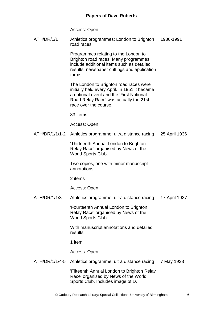Access: Open

ATH/DR/1/1 Athletics programmes: London to Brighton road races 1936-1991

> Programmes relating to the London to Brighton road races. Many programmes include additional items such as detailed results, newspaper cuttings and application forms.

The London to Brighton road races were initially held every April. In 1951 it became a national event and the 'First National Road Relay Race' was actually the 21st race over the course.

33 items

Access: Open

ATH/DR/1/1/1-2 Athletics programme: ultra distance racing 25 April 1936

> 'Thirteenth Annual London to Brighton Relay Race' organised by News of the World Sports Club.

Two copies, one with minor manuscript annotations.

2 items

Access: Open

ATH/DR/1/1/3 Athletics programme: ultra distance racing 17 April 1937

> 'Fourteenth Annual London to Brighton Relay Race' organised by News of the World Sports Club.

With manuscript annotations and detailed results.

1 item

Access: Open

ATH/DR/1/1/4-5 Athletics programme: ultra distance racing 7 May 1938

> 'Fifteenth Annual London to Brighton Relay Race' organised by News of the World Sports Club. Includes image of D.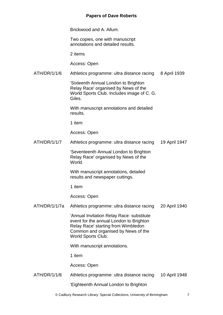Brickwood and A. Allum.

Two copies, one with manuscript annotations and detailed results.

2 items

Access: Open

ATH/DR/1/1/6 Athletics programme: ultra distance racing 8 April 1939

> 'Sixteenth Annual London to Brighton Relay Race' organised by News of the World Sports Club. Includes image of C. G. Giles.

With manuscript annotations and detailed results.

1 item

Access: Open

ATH/DR/1/1/7 Athletics programme: ultra distance racing 19 April 1947

> 'Seventeenth Annual London to Brighton Relay Race' organised by News of the World.

With manuscript annotations, detailed results and newspaper cuttings.

1 item

Access: Open

ATH/DR/1/1/7a Athletics programme: ultra distance racing 20 April 1940

> 'Annual Invitation Relay Race: substitute event for the annual London to Brighton Relay Race' starting from Wimbledon Common and organised by News of the World Sports Club.

With manuscript annotations.

1 item

Access: Open

- ATH/DR/1/1/8 Athletics programme: ultra distance racing 10 April 1948
	- 'Eighteenth Annual London to Brighton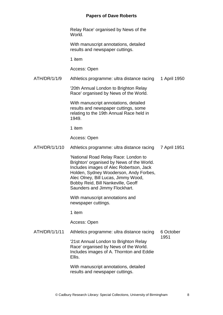Relay Race' organised by News of the World.

With manuscript annotations, detailed results and newspaper cuttings.

1 item

Access: Open

ATH/DR/1/1/9 Athletics programme: ultra distance racing 1 April 1950

> '20th Annual London to Brighton Relay Race' organised by News of the World.

With manuscript annotations, detailed results and newspaper cuttings, some relating to the 19th Annual Race held in 1949.

1 item

Access: Open

ATH/DR/1/1/10 Athletics programme: ultra distance racing 7 April 1951

> 'National Road Relay Race: London to Brighton' organised by News of the World. Includes images of Alec Robertson, Jack Holden, Sydney Wooderson, Andy Forbes, Alec Olney, Bill Lucas, Jimmy Wood, Bobby Reid, Bill Nankeville, Geoff Saunders and Jimmy Flockhart.

With manuscript annotations and newspaper cuttings.

1 item

Access: Open

ATH/DR/1/1/11 Athletics programme: ultra distance racing 6 October 1951

> '21st Annual London to Brighton Relay Race' organised by News of the World. Includes images of A. Thornton and Eddie Ellis.

With manuscript annotations, detailed results and newspaper cuttings.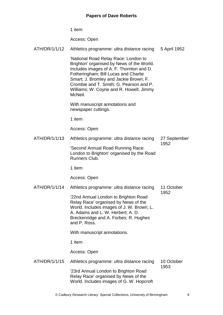1 item

Access: Open

| ATH/DR/1/1/12 | Athletics programme: ultra distance racing                                                                                                                                                                                                                                                                       | 5 April 1952         |
|---------------|------------------------------------------------------------------------------------------------------------------------------------------------------------------------------------------------------------------------------------------------------------------------------------------------------------------|----------------------|
|               | 'National Road Relay Race: London to<br>Brighton' organised by News of the World.<br>Includes images of A. F. Thornton and D.<br>Fotheringham; Bill Lucas and Charlie<br>Smart; J. Bromley and Jackie Brown; F.<br>Crombie and T. Smith; G. Pearson and P.<br>Williams; W. Coyne and R. Howell; Jimmy<br>McNeil. |                      |
|               | With manuscript annotations and<br>newspaper cuttings.                                                                                                                                                                                                                                                           |                      |
|               | 1 item                                                                                                                                                                                                                                                                                                           |                      |
|               | Access: Open                                                                                                                                                                                                                                                                                                     |                      |
| ATH/DR/1/1/13 | Athletics programme: ultra distance racing                                                                                                                                                                                                                                                                       | 27 September<br>1952 |
|               | 'Second Annual Road Running Race:<br>London to Brighton' organised by the Road<br>Runners Club.                                                                                                                                                                                                                  |                      |
|               | 1 item                                                                                                                                                                                                                                                                                                           |                      |
|               | Access: Open                                                                                                                                                                                                                                                                                                     |                      |
| ATH/DR/1/1/14 | Athletics programme: ultra distance racing                                                                                                                                                                                                                                                                       | 11 October<br>1952   |
|               | '22nd Annual London to Brighton Road<br>Relay Race' organised by News of the<br>World. Includes images of J. W. Brown; L.<br>A. Adams and L. W. Herbert; A. D.<br>Breckenridge and A. Forbes; R. Hughes<br>and P. Ross.                                                                                          |                      |
|               | With manuscript annotations.                                                                                                                                                                                                                                                                                     |                      |
|               | 1 item                                                                                                                                                                                                                                                                                                           |                      |
|               | Access: Open                                                                                                                                                                                                                                                                                                     |                      |
| ATH/DR/1/1/15 | Athletics programme: ultra distance racing                                                                                                                                                                                                                                                                       | 10 October<br>1953   |
|               | '23rd Annual London to Brighton Road<br>Relay Race' organised by News of the<br>World. Includes images of G. W. Hopcroft                                                                                                                                                                                         |                      |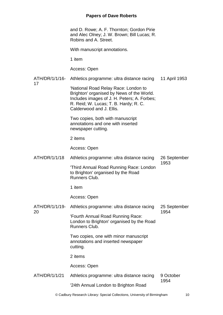and D. Rowe; A. F. Thornton; Gordon Pirie and Alec Olney; J. W. Brown; Bill Lucas; R. Robins and A. Street.

With manuscript annotations.

1 item

17

Access: Open

ATH/DR/1/1/16- Athletics programme: ultra distance racing 11 April 1953

> 'National Road Relay Race: London to Brighton' organised by News of the World. Includes images of J. H. Peters; A. Forbes; R. Reid; W. Lucas; T. B. Hardy; R. C. Calderwood and J. Ellis.

Two copies, both with manuscript annotations and one with inserted newspaper cutting.

2 items

Access: Open

ATH/DR/1/1/18 Athletics programme: ultra distance racing 26 September 1953

'Third Annual Road Running Race: London to Brighton' organised by the Road Runners Club.

1 item

Access: Open

ATH/DR/1/1/19- 20 Athletics programme: ultra distance racing 'Fourth Annual Road Running Race: London to Brighton' organised by the Road 25 September 1954

> Runners Club. Two copies, one with minor manuscript annotations and inserted newspaper

cutting.

2 items

Access: Open

ATH/DR/1/1/21 Athletics programme: ultra distance racing '24th Annual London to Brighton Road 9 October 1954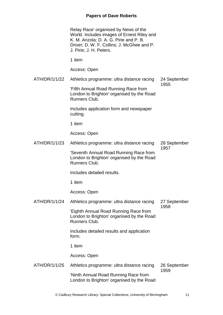Relay Race' organised by News of the World. Includes images of Ernest Riley and K. M. Anzola; D. A. G. Pirie and P. B. Driver; D. W. F. Collins; J. McGhee and P. J. Pirie; J. H. Peters.

1 item

Access: Open

ATH/DR/1/1/22 Athletics programme: ultra distance racing 'Fifth Annual Road Running Race from 24 September 1955

London to Brighton' organised by the Road Runners Club.

Includes application form and newspaper cutting.

1 item

Access: Open

ATH/DR/1/1/23 Athletics programme: ultra distance racing 'Seventh Annual Road Running Race from 28 September 1957

London to Brighton' organised by the Road Runners Club.

Includes detailed results.

1 item

Access: Open

ATH/DR/1/1/24 Athletics programme: ultra distance racing 27 September 1958

'Eighth Annual Road Running Race from London to Brighton' organised by the Road Runners Club.

Includes detailed results and application form.

1 item

Access: Open

ATH/DR/1/1/25 Athletics programme: ultra distance racing 'Ninth Annual Road Running Race from London to Brighton' organised by the Road 26 September 1959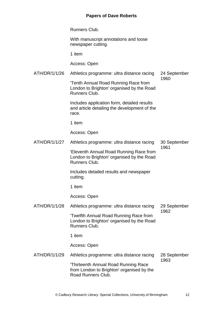Runners Club.

With manuscript annotations and loose newspaper cutting.

1 item

Access: Open

ATH/DR/1/1/26 Athletics programme: ultra distance racing 24 September 1960

> 'Tenth Annual Road Running Race from London to Brighton' organised by the Road Runners Club.

> Includes application form, detailed results and article detailing the development of the race.

1 item

Access: Open

ATH/DR/1/1/27 Athletics programme: ultra distance racing 'Eleventh Annual Road Running Race from London to Brighton' organised by the Road Runners Club. 30 September 1961

> Includes detailed results and newspaper cutting.

1 item

Access: Open

ATH/DR/1/1/28 Athletics programme: ultra distance racing 'Twelfth Annual Road Running Race from 29 September 1962

London to Brighton' organised by the Road Runners Club.

1 item

Access: Open

ATH/DR/1/1/29 Athletics programme: ultra distance racing 'Thirteenth Annual Road Running Race from London to Brighton' organised by the Road Runners Club. 28 September 1963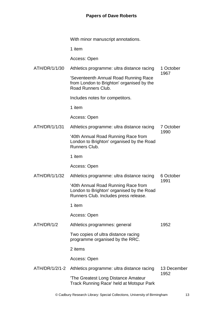With minor manuscript annotations.

1 item

Access: Open

ATH/DR/1/1/30 Athletics programme: ultra distance racing 1 October 1967

'Seventeenth Annual Road Running Race from London to Brighton' organised by the Road Runners Club.

Includes notes for competitors.

1 item

Access: Open

ATH/DR/1/1/31 Athletics programme: ultra distance racing '40th Annual Road Running Race from 7 October 1990

London to Brighton' organised by the Road Runners Club.

1 item

Access: Open

ATH/DR/1/1/32 Athletics programme: ultra distance racing '40th Annual Road Running Race from London to Brighton' organised by the Road 6 October 1991

Runners Club. Includes press release.

1 item

Access: Open

ATH/DR/1/2 Athletics programmes: general Two copies of ultra distance racing programme organised by the RRC. 1952

2 items

Access: Open

ATH/DR/1/2/1-2 Athletics programme: ultra distance racing 'The Greatest Long Distance Amateur Track Running Race' held at Motspur Park 13 December 1952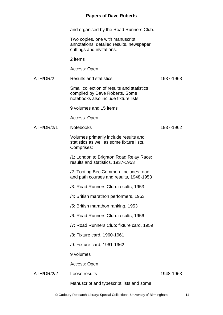and organised by the Road Runners Club.

Two copies, one with manuscript annotations, detailed results, newspaper cuttings and invitations.

2 items

Access: Open

ATH/DR/2 Results and statistics

Small collection of results and statistics compiled by Dave Roberts. Some notebooks also include fixture lists.

9 volumes and 15 items

Access: Open

ATH/DR/2/1 Notebooks

1937-1962

1937-1963

Volumes primarily include results and statistics as well as some fixture lists. Comprises:

/1: London to Brighton Road Relay Race: results and statistics, 1937-1953

/2: Tooting Bec Common. Includes road and path courses and results, 1948-1953

- /3: Road Runners Club: results, 1953
- /4: British marathon performers, 1953
- /5: British marathon ranking, 1953
- /6: Road Runners Club: results, 1956
- /7: Road Runners Club: fixture card, 1959
- /8: Fixture card, 1960-1961
- /9: Fixture card, 1961-1962

9 volumes

Access: Open

ATH/DR/2/2 Loose results

1948-1963

Manuscript and typescript lists and some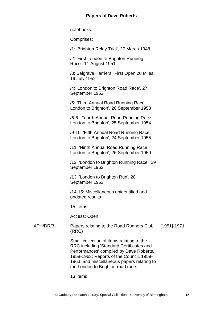notebooks.

Comprises:

/1: 'Brighton Relay Trial', 27 March 1948

/2: 'First London to Brighton Running Race', 11 August 1951

/3: Belgrave Harriers' 'First Open 20 Miles', 19 July 1952

/4: 'London to Brighton Road Race', 27 September 1952

/5: 'Third Annual Road Running Race: London to Brighton', 26 September 1953

/6-8: 'Fourth Annual Road Running Race: London to Brighton', 25 September 1954

/9-10: 'Fifth Annual Road Running Race: London to Brighton', 24 September 1955

/11: 'Ninth Annual Road Running Race: London to Brighton', 26 September 1959

/12: 'London to Brighton Running Race', 29 September 1962

/13: 'London to Brighton Run', 28 September 1963

/14-15: Miscellaneous unidentified and undated results

15 items

Access: Open

ATH/DR/3 Papers relating to the Road Runners Club (RRC) [1951]-1971

> Small collection of items relating to the RRC including 'Standard Certificates and Performances' compiled by Dave Roberts, 1958-1963; Reports of the Council, 1959- 1963; and miscellaneous papers relating to the London to Brighton road race.

13 items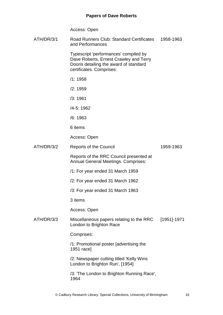Access: Open

| ATH/DR/3/1 | Road Runners Club: Standard Certificates<br>and Performances                                                                                          | 1958-1963   |
|------------|-------------------------------------------------------------------------------------------------------------------------------------------------------|-------------|
|            | Typescript 'performances' compiled by<br>Dave Roberts, Ernest Crawley and Terry<br>Dooris detailing the award of standard<br>certificates. Comprises: |             |
|            | /1:1958                                                                                                                                               |             |
|            | /2:1959                                                                                                                                               |             |
|            | /3:1961                                                                                                                                               |             |
|            | /4-5: 1962                                                                                                                                            |             |
|            | /6:1963                                                                                                                                               |             |
|            | 6 items                                                                                                                                               |             |
|            | Access: Open                                                                                                                                          |             |
| ATH/DR/3/2 | <b>Reports of the Council</b>                                                                                                                         | 1959-1963   |
|            | Reports of the RRC Council presented at<br><b>Annual General Meetings. Comprises:</b>                                                                 |             |
|            | /1: For year ended 31 March 1959                                                                                                                      |             |
|            | /2: For year ended 31 March 1962                                                                                                                      |             |
|            | /3: For year ended 31 March 1963                                                                                                                      |             |
|            | 3 items                                                                                                                                               |             |
|            | Access: Open                                                                                                                                          |             |
| ATH/DR/3/3 | Miscellaneous papers relating to the RRC<br>London to Brighton Race                                                                                   | [1951]-1971 |
|            | Comprises:                                                                                                                                            |             |
|            | /1: Promotional poster [advertising the<br>1951 race]                                                                                                 |             |
|            | /2: Newspaper cutting titled 'Kelly Wins<br>London to Brighton Run', [1954]                                                                           |             |
|            | /3: 'The London to Brighton Running Race',<br>1964                                                                                                    |             |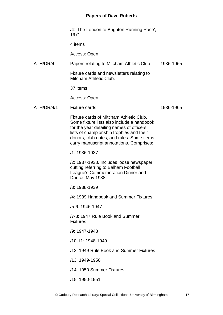|            | /4: 'The London to Brighton Running Race',<br>1971                                                                                                                                                                                                                      |           |
|------------|-------------------------------------------------------------------------------------------------------------------------------------------------------------------------------------------------------------------------------------------------------------------------|-----------|
|            | 4 items                                                                                                                                                                                                                                                                 |           |
|            | Access: Open                                                                                                                                                                                                                                                            |           |
| ATH/DR/4   | Papers relating to Mitcham Athletic Club                                                                                                                                                                                                                                | 1936-1965 |
|            | Fixture cards and newsletters relating to<br>Mitcham Athletic Club.                                                                                                                                                                                                     |           |
|            | 37 items                                                                                                                                                                                                                                                                |           |
|            | Access: Open                                                                                                                                                                                                                                                            |           |
| ATH/DR/4/1 | <b>Fixture cards</b>                                                                                                                                                                                                                                                    | 1936-1965 |
|            | Fixture cards of Mitcham Athletic Club.<br>Some fixture lists also include a handbook<br>for the year detailing names of officers;<br>lists of championship trophies and their<br>donors; club notes; and rules. Some items<br>carry manuscript annotations. Comprises: |           |
|            | /1: 1936-1937                                                                                                                                                                                                                                                           |           |
|            | /2: 1937-1938. Includes loose newspaper<br>cutting referring to Balham Football<br>League's Commemoration Dinner and<br>Dance, May 1938                                                                                                                                 |           |
|            | /3: 1938-1939                                                                                                                                                                                                                                                           |           |
|            | /4: 1939 Handbook and Summer Fixtures                                                                                                                                                                                                                                   |           |
|            | /5-6: 1946-1947                                                                                                                                                                                                                                                         |           |
|            | /7-8: 1947 Rule Book and Summer<br><b>Fixtures</b>                                                                                                                                                                                                                      |           |
|            | /9: 1947-1948                                                                                                                                                                                                                                                           |           |
|            | /10-11: 1948-1949                                                                                                                                                                                                                                                       |           |
|            | /12: 1949 Rule Book and Summer Fixtures                                                                                                                                                                                                                                 |           |
|            | /13: 1949-1950                                                                                                                                                                                                                                                          |           |
|            | /14: 1950 Summer Fixtures                                                                                                                                                                                                                                               |           |
|            | /15: 1950-1951                                                                                                                                                                                                                                                          |           |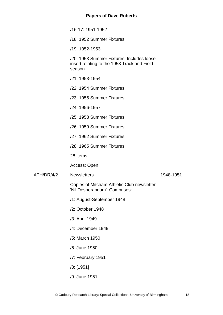/16-17: 1951-1952

/18: 1952 Summer Fixtures

/19: 1952-1953

/20: 1953 Summer Fixtures. Includes loose insert relating to the 1953 Track and Field season

- /21: 1953-1954
- /22: 1954 Summer Fixtures
- /23: 1955 Summer Fixtures
- /24: 1956-1957
- /25: 1958 Summer Fixtures
- /26: 1959 Summer Fixtures
- /27: 1962 Summer Fixtures
- /28: 1965 Summer Fixtures

28 items

Access: Open

ATH/DR/4/2 Newsletters

- 1948-1951
- Copies of Mitcham Athletic Club newsletter 'Nil Desperandum'. Comprises:
- /1: August-September 1948
- /2: October 1948
- /3: April 1949
- /4: December 1949
- /5: March 1950
- /6: June 1950
- /7: February 1951
- /8: [1951]
- /9: June 1951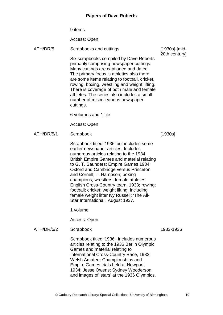|            | 9 items                                                                                                                                                                                                                                                                                                                                                                                                                                                                                                                          |               |
|------------|----------------------------------------------------------------------------------------------------------------------------------------------------------------------------------------------------------------------------------------------------------------------------------------------------------------------------------------------------------------------------------------------------------------------------------------------------------------------------------------------------------------------------------|---------------|
|            | Access: Open                                                                                                                                                                                                                                                                                                                                                                                                                                                                                                                     |               |
| ATH/DR/5   | Scrapbooks and cuttings                                                                                                                                                                                                                                                                                                                                                                                                                                                                                                          | [1930s]-[mid- |
|            | Six scrapbooks compiled by Dave Roberts<br>primarily comprising newspaper cuttings.<br>Many cuttings are captioned and dated.<br>The primary focus is athletics also there<br>are some items relating to football, cricket,<br>rowing, boxing, wrestling and weight lifting.<br>There is coverage of both male and female<br>athletes. The series also includes a small<br>number of miscelleanous newspaper<br>cuttings.                                                                                                        | 20th century] |
|            | 6 volumes and 1 file                                                                                                                                                                                                                                                                                                                                                                                                                                                                                                             |               |
|            | Access: Open                                                                                                                                                                                                                                                                                                                                                                                                                                                                                                                     |               |
| ATH/DR/5/1 | Scrapbook                                                                                                                                                                                                                                                                                                                                                                                                                                                                                                                        | [1930s]       |
|            | Scrapbook titled '1936' but includes some<br>earlier newspaper articles. Includes<br>numerous articles relating to the 1934<br><b>British Empire Games and material relating</b><br>to G. T. Saunders; Empire Games 1934;<br>Oxford and Cambridge versus Princeton<br>and Cornell; T. Hampson; boxing<br>champions; wrestlers; female athletes;<br>English Cross-Country team, 1933; rowing;<br>football; cricket; weight lifting, including<br>female weight lifter Ivy Russell; 'The All-<br>Star International', August 1937. |               |
|            | 1 volume                                                                                                                                                                                                                                                                                                                                                                                                                                                                                                                         |               |
|            | Access: Open                                                                                                                                                                                                                                                                                                                                                                                                                                                                                                                     |               |
| ATH/DR/5/2 | Scrapbook                                                                                                                                                                                                                                                                                                                                                                                                                                                                                                                        | 1933-1936     |
|            | Scrapbook titled '1936'. Includes numerous<br>articles relating to the 1936 Berlin Olympic                                                                                                                                                                                                                                                                                                                                                                                                                                       |               |

Games and material relating to International Cross-Country Race, 1933; Welsh Amateur Championships and Empire Games trials held at Newport, 1934; Jesse Owens; Sydney Wooderson; and images of 'stars' at the 1936 Olympics.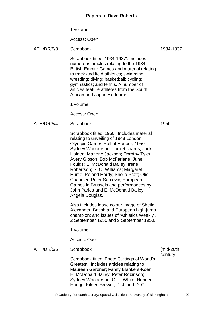1 volume

Access: Open

# ATH/DR/5/3 Scrapbook

Scrapbook titled '1934-1937'. Includes numerous articles relating to the 1934 British Empire Games and material relating to track and field athletics; swimming; wrestling; diving; basketball; cycling; gymnastics; and tennis. A number of articles feature athletes from the South African and Japanese teams.

1 volume

Access: Open

ATH/DR/5/4 Scrapbook

Scrapbook titled '1950'. Includes material relating to unveiling of 1948 London Olympic Games Roll of Honour, 1950; Sydney Wooderson; Tom Richards; Jack Holden; Marjorie Jackson; Dorothy Tyler; Avery Gibson; Bob McFarlane; June Foulds; E. McDonald Bailey; Irene Robertson; S. O. Williams; Margaret Hume; Roland Hardy; Sheila Pratt; Otis Chandler; Peter Sarcevic; European Games in Brussels and performances by John Parlett and E. McDonald Bailey; Angela Douglas.

Also includes loose colour image of Sheila Alexander, British and European high-jump champion; and issues of 'Athletics Weekly', 2 September 1950 and 9 September 1950.

1 volume

Access: Open

#### ATH/DR/5/5 Scrapbook

Scrapbook titled 'Photo Cuttings of World's Greatest'. Includes articles relating to Maureen Gardner; Fanny Blankers-Koen; E. McDonald Bailey; Peter Robinson; Sydney Wooderson; C. T. White; Hunder Haegg; Eileen Brewer; P. J. and D. G.

1950

[mid-20th century]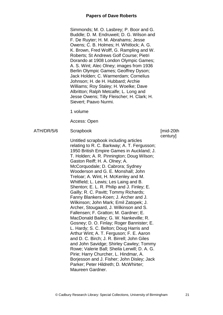Simmonds; M. O. Lasbrey; P. Boor and G. Buddle; D. M. Endruweit; D. G. Wilson and F. De Ruyter; H. M. Abrahams; Jesse Owens; C. B. Holmes; H. Whitlock; A. G. K. Brown, Fred Wolff, G. Rampling and W. Roberts; St Andrews Golf Course; Pietri Dorando at 1908 London Olympic Games; A. S. Wint; Alec Olney; images from 1936 Berlin Olympic Games; Geoffrey Dyson; Jack Holden; C. Warmerdam; Cornelius Johnson; H. de H. Hubbard; Archie Williams; Roy Staley; H. Woelke; Dave Albritton; Ralph Metcalfe; L. Long and Jesse Owens; Tilly Fleischer; H. Clark; H. Sievert; Paavo Nurmi.

1 volume

Access: Open

```
ATH/DR/5/6 Scrapbook
```
Untitled scrapbook including articles relating to R. C. Barkway; A. T. Fergusson; 1950 British Empire Games in Auckland; J. T. Holden; A. R. Pinnington; Doug Wilson; Gaston Reiff; H. A. Olney; A. McCorquodale; D. Cabrora; Sydney Wooderson and G. E. Monshall; John Treloar; A. Wint, H. McKenley and M. Whitfield; L. Lewis; Les Laing and B. Shenton; E. L. R. Philip and J. Finley; E. Gailly; R. C. Pavitt; Tommy Richards; Fanny Blankers-Koen; J. Archer and J. Wilkinson; John Mark; Emil Zatopek; J. Archer, Stougaard, J. Wilkinson and S. Fallensen; F. Gratton; M. Gardner; E. MacDonald Bailey; G. W. Nankeville; R. Gosney; D. O. Finlay; Roger Bannister; E. L. Hardy; S. C. Belton; Doug Harris and Arthur Wint; A. T. Ferguson; F. E. Aaron and D. C. Birch; J. R. Birrell; John Giles and John Savidge; Shirley Cawley; Tommy Rowe; Valerie Ball; Sheila Lerwill; D. A. G. Pirie; Harry Churcher, L. Hindmar, A. Borjesson and J. Fisher; John Disley; Jack Parker; Peter Hildreth; D. McWhirter; Maureen Gardner.

#### [mid-20th century]